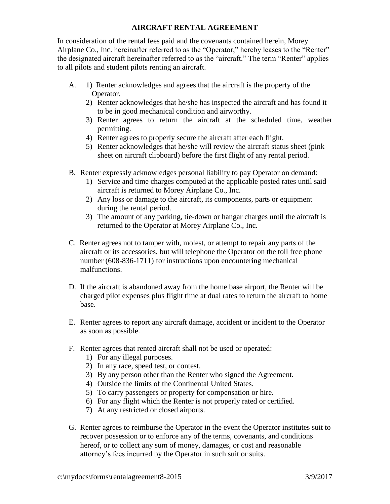### **AIRCRAFT RENTAL AGREEMENT**

In consideration of the rental fees paid and the covenants contained herein, Morey Airplane Co., Inc. hereinafter referred to as the "Operator," hereby leases to the "Renter" the designated aircraft hereinafter referred to as the "aircraft." The term "Renter" applies to all pilots and student pilots renting an aircraft.

- A. 1) Renter acknowledges and agrees that the aircraft is the property of the Operator.
	- 2) Renter acknowledges that he/she has inspected the aircraft and has found it to be in good mechanical condition and airworthy.
	- 3) Renter agrees to return the aircraft at the scheduled time, weather permitting.
	- 4) Renter agrees to properly secure the aircraft after each flight.
	- 5) Renter acknowledges that he/she will review the aircraft status sheet (pink sheet on aircraft clipboard) before the first flight of any rental period.
- B. Renter expressly acknowledges personal liability to pay Operator on demand:
	- 1) Service and time charges computed at the applicable posted rates until said aircraft is returned to Morey Airplane Co., Inc.
	- 2) Any loss or damage to the aircraft, its components, parts or equipment during the rental period.
	- 3) The amount of any parking, tie-down or hangar charges until the aircraft is returned to the Operator at Morey Airplane Co., Inc.
- C. Renter agrees not to tamper with, molest, or attempt to repair any parts of the aircraft or its accessories, but will telephone the Operator on the toll free phone number (608-836-1711) for instructions upon encountering mechanical malfunctions.
- D. If the aircraft is abandoned away from the home base airport, the Renter will be charged pilot expenses plus flight time at dual rates to return the aircraft to home base.
- E. Renter agrees to report any aircraft damage, accident or incident to the Operator as soon as possible.
- F. Renter agrees that rented aircraft shall not be used or operated:
	- 1) For any illegal purposes.
	- 2) In any race, speed test, or contest.
	- 3) By any person other than the Renter who signed the Agreement.
	- 4) Outside the limits of the Continental United States.
	- 5) To carry passengers or property for compensation or hire.
	- 6) For any flight which the Renter is not properly rated or certified.
	- 7) At any restricted or closed airports.
- G. Renter agrees to reimburse the Operator in the event the Operator institutes suit to recover possession or to enforce any of the terms, covenants, and conditions hereof, or to collect any sum of money, damages, or cost and reasonable attorney's fees incurred by the Operator in such suit or suits.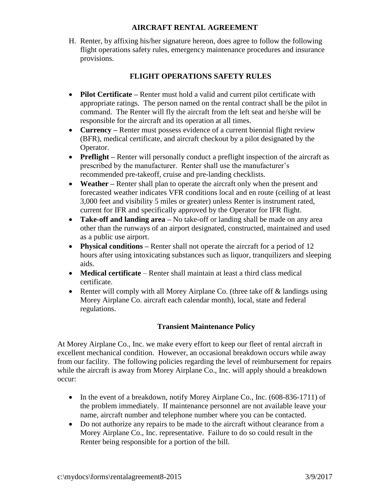#### **AIRCRAFT RENTAL AGREEMENT**

H. Renter, by affixing his/her signature hereon, does agree to follow the following flight operations safety rules, emergency maintenance procedures and insurance provisions.

# **FLIGHT OPERATIONS SAFETY RULES**

- **Pilot Certificate –** Renter must hold a valid and current pilot certificate with appropriate ratings. The person named on the rental contract shall be the pilot in command. The Renter will fly the aircraft from the left seat and he/she will be responsible for the aircraft and its operation at all times.
- **Currency** Renter must possess evidence of a current biennial flight review (BFR), medical certificate, and aircraft checkout by a pilot designated by the Operator.
- **Preflight** Renter will personally conduct a preflight inspection of the aircraft as prescribed by the manufacturer. Renter shall use the manufacturer's recommended pre-takeoff, cruise and pre-landing checklists.
- **Weather** Renter shall plan to operate the aircraft only when the present and forecasted weather indicates VFR conditions local and en route (ceiling of at least 3,000 feet and visibility 5 miles or greater) unless Renter is instrument rated, current for IFR and specifically approved by the Operator for IFR flight.
- **Take-off and landing area –** No take-off or landing shall be made on any area other than the runways of an airport designated, constructed, maintained and used as a public use airport.
- **Physical conditions** Renter shall not operate the aircraft for a period of 12 hours after using intoxicating substances such as liquor, tranquilizers and sleeping aids.
- **Medical certificate**  Renter shall maintain at least a third class medical certificate.
- Renter will comply with all Morey Airplane Co. (three take off  $\&$  landings using Morey Airplane Co. aircraft each calendar month), local, state and federal regulations.

## **Transient Maintenance Policy**

At Morey Airplane Co., Inc. we make every effort to keep our fleet of rental aircraft in excellent mechanical condition. However, an occasional breakdown occurs while away from our facility. The following policies regarding the level of reimbursement for repairs while the aircraft is away from Morey Airplane Co., Inc. will apply should a breakdown occur:

- In the event of a breakdown, notify Morey Airplane Co., Inc.  $(608-836-1711)$  of the problem immediately. If maintenance personnel are not available leave your name, aircraft number and telephone number where you can be contacted.
- Do not authorize any repairs to be made to the aircraft without clearance from a Morey Airplane Co., Inc. representative. Failure to do so could result in the Renter being responsible for a portion of the bill.